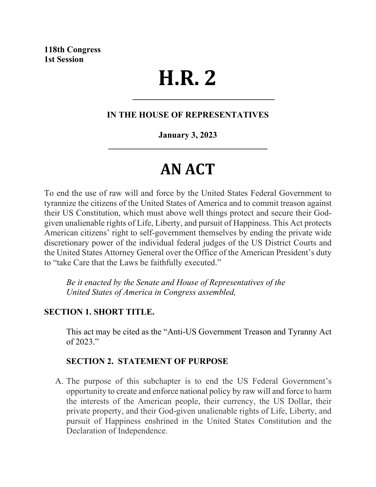# **H.R. 2**

# **IN THE HOUSE OF REPRESENTATIVES**

**\_\_\_\_\_\_\_\_\_\_\_\_\_\_\_\_\_\_\_\_\_\_\_\_\_\_\_\_\_\_\_\_\_**

# **January 3, 2023 \_\_\_\_\_\_\_\_\_\_\_\_\_\_\_\_\_\_\_\_\_\_\_\_\_\_\_\_\_\_\_\_\_\_\_\_\_**

# **AN ACT**

To end the use of raw will and force by the United States Federal Government to tyrannize the citizens of the United States of America and to commit treason against their US Constitution, which must above well things protect and secure their Godgiven unalienable rights of Life, Liberty, and pursuit of Happiness. This Act protects American citizens' right to self-government themselves by ending the private wide discretionary power of the individual federal judges of the US District Courts and the United States Attorney General over the Office of the American President's duty to "take Care that the Laws be faithfully executed."

*Be it enacted by the Senate and House of Representatives of the United States of America in Congress assembled,*

#### **SECTION 1. SHORT TITLE.**

This act may be cited as the "Anti-US Government Treason and Tyranny Act of 2023."

# **SECTION 2. STATEMENT OF PURPOSE**

A. The purpose of this subchapter is to end the US Federal Government's opportunity to create and enforce national policy by raw will and force to harm the interests of the American people, their currency, the US Dollar, their private property, and their God-given unalienable rights of Life, Liberty, and pursuit of Happiness enshrined in the United States Constitution and the Declaration of Independence.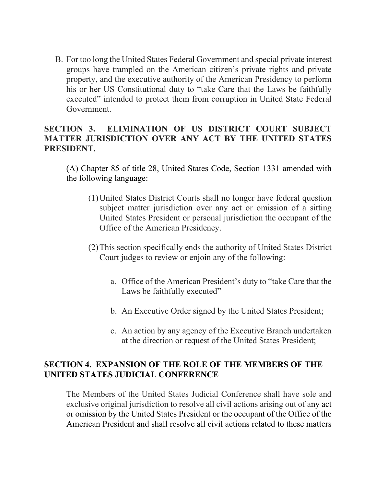B. For too long the United States Federal Government and special private interest groups have trampled on the American citizen's private rights and private property, and the executive authority of the American Presidency to perform his or her US Constitutional duty to "take Care that the Laws be faithfully executed" intended to protect them from corruption in United State Federal Government.

# **SECTION 3. ELIMINATION OF US DISTRICT COURT SUBJECT MATTER JURISDICTION OVER ANY ACT BY THE UNITED STATES PRESIDENT.**

(A) Chapter 85 of title 28, United States Code, Section 1331 amended with the following language:

- (1)United States District Courts shall no longer have federal question subject matter jurisdiction over any act or omission of a sitting United States President or personal jurisdiction the occupant of the Office of the American Presidency.
- (2)This section specifically ends the authority of United States District Court judges to review or enjoin any of the following:
	- a. Office of the American President's duty to "take Care that the Laws be faithfully executed"
	- b. An Executive Order signed by the United States President;
	- c. An action by any agency of the Executive Branch undertaken at the direction or request of the United States President;

# **SECTION 4. EXPANSION OF THE ROLE OF THE MEMBERS OF THE UNITED STATES JUDICIAL CONFERENCE**

The Members of the United States Judicial Conference shall have sole and exclusive original jurisdiction to resolve all civil actions arising out of any act or omission by the United States President or the occupant of the Office of the American President and shall resolve all civil actions related to these matters